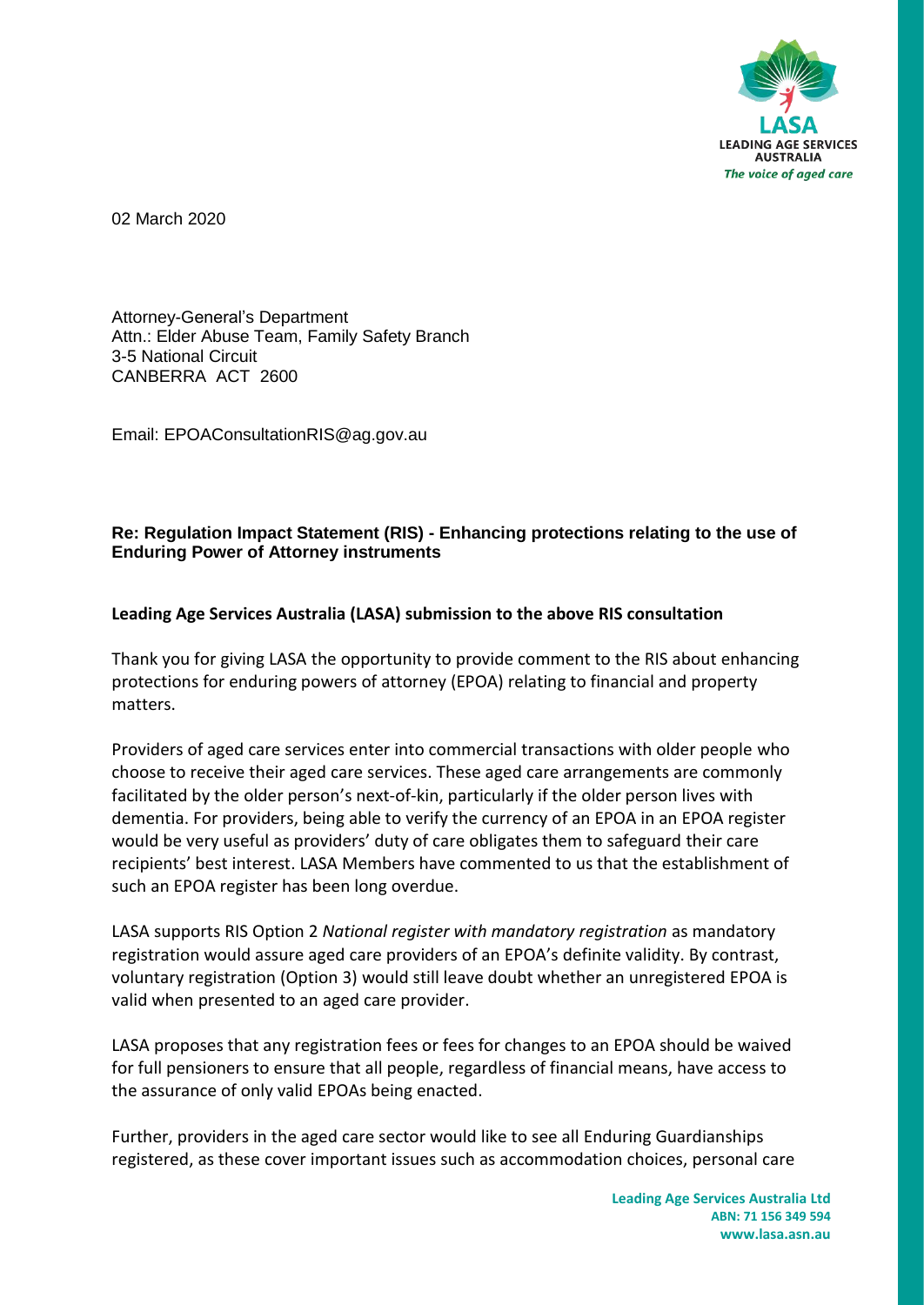

02 March 2020

Attorney-General's Department Attn.: Elder Abuse Team, Family Safety Branch 3-5 National Circuit CANBERRA ACT 2600

Email: EPOAConsultationRIS@ag.gov.au

## **Re: Regulation Impact Statement (RIS) - Enhancing protections relating to the use of Enduring Power of Attorney instruments**

## **Leading Age Services Australia (LASA) submission to the above RIS consultation**

Thank you for giving LASA the opportunity to provide comment to the RIS about enhancing protections for enduring powers of attorney (EPOA) relating to financial and property matters.

Providers of aged care services enter into commercial transactions with older people who choose to receive their aged care services. These aged care arrangements are commonly facilitated by the older person's next-of-kin, particularly if the older person lives with dementia. For providers, being able to verify the currency of an EPOA in an EPOA register would be very useful as providers' duty of care obligates them to safeguard their care recipients' best interest. LASA Members have commented to us that the establishment of such an EPOA register has been long overdue.

LASA supports RIS Option 2 *National register with mandatory registration* as mandatory registration would assure aged care providers of an EPOA's definite validity. By contrast, voluntary registration (Option 3) would still leave doubt whether an unregistered EPOA is valid when presented to an aged care provider.

LASA proposes that any registration fees or fees for changes to an EPOA should be waived for full pensioners to ensure that all people, regardless of financial means, have access to the assurance of only valid EPOAs being enacted.

Further, providers in the aged care sector would like to see all Enduring Guardianships registered, as these cover important issues such as accommodation choices, personal care